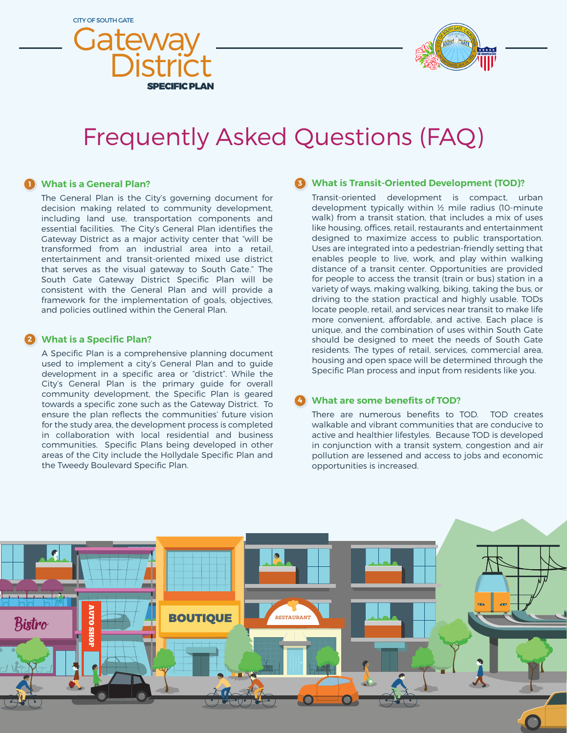



# Frequently Asked Questions (FAQ)

# **What is a General Plan? 1**

The General Plan is the City's governing document for decision making related to community development, including land use, transportation components and essential facilities. The City's General Plan identifies the Gateway District as a major activity center that "will be transformed from an industrial area into a retail, entertainment and transit-oriented mixed use district that serves as the visual gateway to South Gate." The South Gate Gateway District Specific Plan will be consistent with the General Plan and will provide a framework for the implementation of goals, objectives, and policies outlined within the General Plan.

#### **What is a Specific Plan? 2**

A Specific Plan is a comprehensive planning document used to implement a city's General Plan and to guide development in a specific area or "district". While the City's General Plan is the primary guide for overall community development, the Specific Plan is geared towards a specific zone such as the Gateway District. To ensure the plan reflects the communities' future vision for the study area, the development process is completed in collaboration with local residential and business communities. Specific Plans being developed in other areas of the City include the Hollydale Specific Plan and the Tweedy Boulevard Specific Plan.

# **What is Transit-Oriented Development (TOD)? 3**

Transit-oriented development is compact, urban development typically within ½ mile radius (10-minute walk) from a transit station, that includes a mix of uses like housing, offices, retail, restaurants and entertainment designed to maximize access to public transportation. Uses are integrated into a pedestrian-friendly setting that enables people to live, work, and play within walking distance of a transit center. Opportunities are provided for people to access the transit (train or bus) station in a variety of ways, making walking, biking, taking the bus, or driving to the station practical and highly usable. TODs locate people, retail, and services near transit to make life more convenient, affordable, and active. Each place is unique, and the combination of uses within South Gate should be designed to meet the needs of South Gate residents. The types of retail, services, commercial area, housing and open space will be determined through the Specific Plan process and input from residents like you.

#### **What are some benefits of TOD? 4**

There are numerous benefits to TOD. TOD creates walkable and vibrant communities that are conducive to active and healthier lifestyles. Because TOD is developed in conjunction with a transit system, congestion and air pollution are lessened and access to jobs and economic opportunities is increased.